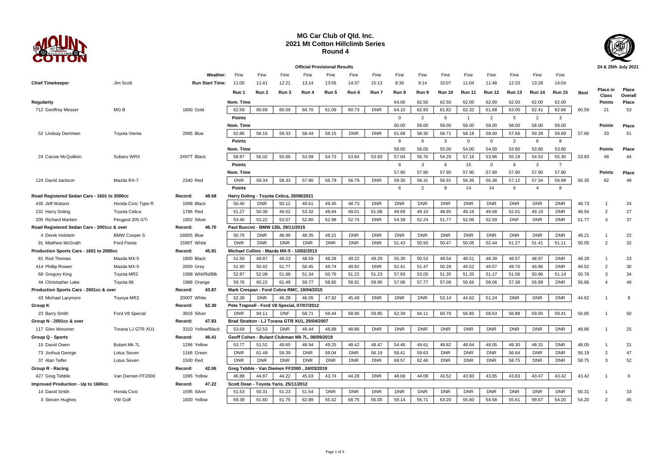

## **MG Car Club of Qld. Inc. 2021 Mt Cotton Hillclimb Series Round 4**



|                                             |                      |                        |                  |                                                |                  | <b>Official Provisional Results</b> |            |            |            |              |                |               |               |                |                |                |                |             | 24 & 25th July 2021      |                  |
|---------------------------------------------|----------------------|------------------------|------------------|------------------------------------------------|------------------|-------------------------------------|------------|------------|------------|--------------|----------------|---------------|---------------|----------------|----------------|----------------|----------------|-------------|--------------------------|------------------|
|                                             |                      | Weather:               | Fine             | Fine                                           | Fine             | Fine                                | Fine       | Fine       | Fine       | Fine         | Fine           | Fine          | Fine          | Fine           | Fine           | Fine           | Fine           |             |                          |                  |
| <b>Chief Timekeeper</b>                     | Jim Scott            | <b>Run Start Time:</b> | 11:00            | 11:41                                          | 12:21            | 13:14                               | 13:56      | 14:37      | 15:13      | 8:30         | 9:14           | 10:07         | 11:04         | 11:48          | 12:33          | 13:28          | 14:04          |             |                          |                  |
|                                             |                      |                        | Run <sup>.</sup> | Run 2                                          | Run 3            | Run 4                               | Run 5      | Run 6      | Run 7      | Run 8        | Run 9          | <b>Run 10</b> | <b>Run 11</b> | <b>Run 12</b>  | <b>Run 13</b>  | Run 14         | <b>Run 15</b>  | <b>Best</b> | Place in<br><b>Class</b> | Place<br>Overall |
| Regularity                                  |                      |                        | Nom. Time        |                                                |                  |                                     |            |            |            | 64.00        | 62.50          | 62.50         | 62.00         | 62.00          | 62.00          | 62.00          | 62.00          |             | Points                   | Place            |
| 712 Geoffrey Messer                         | MG <sub>B</sub>      | 1800 Gold              | 62.59            | 60.69                                          | 60.59            | 60.70                               | 61.09      | 60.73      | <b>DNR</b> | 64.10        | 62.93          | 61.82         | 62.32         | 61.68          | 63.00          | 62.41          | 62.66          | 60.59       | 21                       | 53               |
|                                             |                      |                        | Points           |                                                |                  |                                     |            |            |            | $\mathbf{0}$ | $\overline{2}$ | 6             | $\mathbf{1}$  | $\overline{2}$ | 5              | 2              | 3              |             |                          |                  |
|                                             |                      |                        | Nom. Time        |                                                |                  |                                     |            |            |            | 60.00        | 59.00          | 58.00         | 58.00         | 58.00          | 58.00          | 58.00          | 58.00          |             | Points                   | Place            |
| 52 Lindsay Derriman                         | Toyota Vienta        | 2995 Blue              | 62.86            | 58.16                                          | 59.33            | 58.44                               | 59.15      | <b>DNR</b> | <b>DNR</b> | 61.68        | 58.30          | 58.71         | 58.18         | 58.00          | 57.66          | 59.28          | 59.69          | 57.66       | 33                       | 51               |
|                                             |                      |                        | <b>Points</b>    |                                                |                  |                                     |            |            |            | 8            | 6              | 3             | $\mathbf 0$   | $\mathbf{0}$   | $\overline{2}$ | 6              | 8              |             |                          |                  |
|                                             |                      |                        | Nom. Time        |                                                |                  |                                     |            |            |            | 58.00        | 56.05          | 55.00         | 54.00         | 54.00          | 53.80          | 53.80          | 53.80          |             | <b>Points</b>            | Place            |
| 24 Cassie McQuilken                         | Subaru WRX           | 2497T Black            | 58.97            | 56.02                                          | 55.66            | 53.99                               | 54.73      | 53.84      | 53.83      | 57.04        | 56.76          | 54.29         | 57.16         | 53.96          | 55.19          | 54.53          | 55.30          | 53.83       | 48                       | 44               |
|                                             |                      |                        | Points           |                                                |                  |                                     |            |            |            | 8            | $\mathbf{3}$   | 6             | 15            | $\mathbf{0}$   | 6              | 3              | $\overline{7}$ |             |                          |                  |
|                                             |                      |                        | Nom. Time        |                                                |                  |                                     |            |            |            | 57.90        | 57.90          | 57.90         | 57.90         | 57.90          | 57.90          | 57.90          | 57.90          |             | <b>Points</b>            | Place            |
| 124 David Jackson                           | Mazda RX-7           | 2340 Red               | <b>DNR</b>       | 59.34                                          | 58.33            | 57.90                               | 56.79      | 56.79      | <b>DNR</b> | 59.30        | 58.31          | 56.91         | 56.35         | 56.38          | 57.12          | 57.34          | 56.99          | 56.35       | 62                       | 48               |
|                                             |                      |                        | Points           |                                                |                  |                                     |            |            |            | 6            | 2              | 8             | 14            | 14             | 6              | $\overline{4}$ | 8              |             |                          |                  |
| Road Registered Sedan Cars - 1601 to 2000cc |                      | 48.68<br>Record:       |                  | Harry Doling - Toyota Celica, 20/06/2021       |                  |                                     |            |            |            |              |                |               |               |                |                |                |                |             |                          |                  |
| 435 Jeff Watson                             | Honda Civic Type R   | 1998 Black             | 50.40            | <b>DNR</b>                                     | 50.12            | 49.61                               | 49.45      | 48.73      | <b>DNR</b> | <b>DNR</b>   | <b>DNR</b>     | <b>DNR</b>    | <b>DNR</b>    | <b>DNR</b>     | <b>DNR</b>     | <b>DNR</b>     | <b>DNR</b>     | 48.73       |                          | 24               |
| 231 Harry Doling                            | <b>Toyota Celica</b> | 1796 Red               | 51.27            | 50.38                                          | 49.52            | 53.32                               | 48.94      | 49.01      | 61.08      | 49.69        | 49.10          | 48.95         | 49.16         | 49.58          | 52.01          | 49.19          | <b>DNR</b>     | 48.94       | $\overline{2}$           | 27               |
| 205 Richard Marken                          | Peugeot 205 GTi      | 1902 Silver            | 53.40            | 53.22                                          | 53.57            | 52.80                               | 52.98      | 52.74      | <b>DNR</b> | 54.39        | 52.24          | 51.77         | 52.06         | 52.59          | <b>DNF</b>     | <b>DNR</b>     | <b>DNR</b>     | 51.77       | 3                        | 37               |
| Road Registered Sedan Cars - 2001cc & over  |                      | Record:<br>46.70       |                  | Paul Buccini - BMW                             | 135i, 29/11/2015 |                                     |            |            |            |              |                |               |               |                |                |                |                |             |                          |                  |
| 4 Derek Holstein                            | <b>BMW Cooper S</b>  | 1600S Blue             | 50.76            | <b>DNR</b>                                     | 48.99            | 48.35                               | 48.21      | <b>DNR</b> | <b>DNR</b> | <b>DNR</b>   | <b>DNR</b>     | <b>DNR</b>    | <b>DNR</b>    | <b>DNR</b>     | <b>DNR</b>     | <b>DNR</b>     | <b>DNR</b>     | 48.21       |                          | 22               |
| 91 Matthew McGrath                          | Ford Fiesta          | 1596T White            | <b>DNR</b>       | <b>DNR</b>                                     | <b>DNR</b>       | <b>DNR</b>                          | <b>DNR</b> | <b>DNR</b> | <b>DNR</b> | 51.43        | 50.93          | 50.47         | 50.05         | 52.44          | 51.27          | 51.41          | 51.11          | 50.05       | $\overline{2}$           | 32               |
| Production Sports Cars - 1601 to 2000cc     |                      | 45.91<br>Record:       |                  | Michael Collins - Mazda MX-5 - 10/02/2013      |                  |                                     |            |            |            |              |                |               |               |                |                |                |                |             |                          |                  |
| 81 Rod Thomas                               | Mazda MX-5           | 1800 Black             | 51.50            | 49.87                                          | 49.23            | 48.59                               | 48.28      | 49.22      | 49.29      | 55.30        | 50.53          | 49.54         | 48.51         | 48.39          | 48.57          | 48.97          | <b>DNR</b>     | 48.28       |                          | 23               |
| 414 Phillip Rowen                           | Mazda MX-5           | 2000 Grey              | 51.90            | 50.42                                          | 51.77            | 50.45                               | 49.74      | 49.82      | <b>DNR</b> | 52.41        | 51.47          | 50.28         | 49.52         | 49.57          | 49.70          | 49.86          | <b>DNR</b>     | 49.52       | $\overline{2}$           | 30               |
| 68 Gregory King                             | Toyota MR2           | 1998 Wht/Rd/Blk        | 52.87            | 52.08                                          | 51.68            | 51.34                               | 50.76      | 51.22      | 51.23      | 57.93        | 53.05          | 51.35         | 51.20         | 51.17          | 51.06          | 50.96          | 51.14          | 50.76       |                          | 34               |
| 44 Christopher Lake                         | Toyota 86            | 1988 Orange            | 59.76            | 60.22                                          | 61.49            | 59.77                               | 58.85      | 58.91      | 59.95      | 57.06        | 57.77          | 57.08         | 56.66         | 58.06          | 57.38          | 56.89          | <b>DNR</b>     | 56.66       |                          | 49               |
| Production Sports Cars - 2001cc & over      |                      | 43.87<br>Record:       |                  | Mark Crespan - Ford Cobra RMC, 19/04/2015      |                  |                                     |            |            |            |              |                |               |               |                |                |                |                |             |                          |                  |
| 43 Michael Larymore                         | Toyoya MR2           | 2000T White            | 52.38            | <b>DNR</b>                                     | 46.28            | 46.05                               | 47.92      | 45.48      | <b>DNR</b> | <b>DNR</b>   | <b>DNR</b>     | 53.14         | 44.62         | 51.24          | <b>DNR</b>     | <b>DNR</b>     | <b>DNR</b>     | 44.62       |                          | 8                |
| Group K                                     |                      | 52.30<br>Record:       |                  | Pete Trapnell - Ford V8 Special, 07/07/2012    |                  |                                     |            |            |            |              |                |               |               |                |                |                |                |             |                          |                  |
| 23 Barry Smith                              | Ford V8 Special      | 3916 Silver            | <b>DNR</b>       | 94.11                                          | <b>DNF</b>       | 58.71                               | 59.44      | 58.96      | 59.85      | 62.39        | 64.11          | 60.79         | 56.85         | 58.63          | 56.88          | 59.05          | 59.41          | 56.85       |                          | 50               |
| Group N - 2001cc & over                     |                      | 47.83<br>Record:       |                  | Brad Stratton - LJ Torana GTR XU1, 29/04/2007  |                  |                                     |            |            |            |              |                |               |               |                |                |                |                |             |                          |                  |
| 117 Glen Wesener                            | Torana LJ GTR XU1    | 3310 Yellow/Black      | 53.69            | 52.53                                          | <b>DNR</b>       | 49.44                               | 48.88      | 48.86      | <b>DNR</b> | <b>DNR</b>   | <b>DNR</b>     | <b>DNR</b>    | <b>DNR</b>    | <b>DNR</b>     | <b>DNR</b>     | <b>DNR</b>     | <b>DNR</b>     | 48.86       |                          | 25               |
| Group Q - Sports                            |                      | Record:<br>46.41       |                  | Geoff Cohen - Bulant Clubman Mk 7L, 08/09/2019 |                  |                                     |            |            |            |              |                |               |               |                |                |                |                |             |                          |                  |
| 15 David Owen                               | <b>Bulant Mk 7L</b>  | 1296 Yellow            | 53.77            | 51.52                                          | 49.65            | 48.94                               | 49.25      | 48.42      | 48.47      | 54.46        | 49.61          | 48.82         | 48.64         | 48.05          | 48.30          | 48.31          | <b>DNR</b>     | 48.05       |                          | 21               |
| 73 Joshua George                            | Lotus Seven          | 1166 Green             | <b>DNR</b>       | 61.49                                          | 59.39            | <b>DNR</b>                          | 59.04      | <b>DNR</b> | 56.19      | 58.41        | 59.63          | <b>DNR</b>    | <b>DNR</b>    | <b>DNR</b>     | 56.64          | <b>DNR</b>     | <b>DNR</b>     | 56.19       | $\overline{2}$           | 47               |
| 37 Alan Telfer                              | Lotus Seven          | 1500 Red               | <b>DNR</b>       | <b>DNR</b>                                     | <b>DNR</b>       | <b>DNR</b>                          | <b>DNR</b> | <b>DNR</b> | <b>DNR</b> | 69.57        | 62.46          | <b>DNR</b>    | <b>DNR</b>    | <b>DNR</b>     | 58.75          | <b>DNR</b>     | <b>DNR</b>     | 58.75       | 3                        | 52               |
| Group R - Racing                            |                      | 42.06<br>Record:       |                  | Greg Tebble - Van Diemen FF2000, 24/03/2019    |                  |                                     |            |            |            |              |                |               |               |                |                |                |                |             |                          |                  |
| 427 Greg Tebble                             | Van Diemen FF2000    | 1995 Yellow            | 46.88            | 44.87                                          | 44.22            | 45.03                               | 43.74      | 44.28      | <b>DNR</b> | 48.69        | 44.09          | 43.52         | 43.60         | 43.85          | 43.83          | 43.47          | 43.42          | 43.42       |                          | 6                |
| Improved Production - Up to 1600cc          |                      | Record:<br>47.22       |                  | Scott Dean - Toyota Yaris, 25/11/2012          |                  |                                     |            |            |            |              |                |               |               |                |                |                |                |             |                          |                  |
| 14 David Smith                              | Honda Civic          | 1595 Silver            | 51.53            | 50.31                                          | 51.23            | 51.54                               | <b>DNR</b> | <b>DNR</b> | <b>DNR</b> | <b>DNR</b>   | <b>DNR</b>     | <b>DNR</b>    | <b>DNR</b>    | <b>DNR</b>     | <b>DNR</b>     | <b>DNR</b>     | <b>DNR</b>     | 50.31       |                          | 33               |
| 3 Steven Hughes                             | <b>VW Golf</b>       | 1600 Yellow            | 69.39            | 61.60                                          | 61.75            | 62.89                               | 55.42      | 68.75      | 56.00      | 59.14        | 56.71          | 63.20         | 55.60         | 54.58          | 55.61          | 99.67          | 54.20          | 54.20       | $\overline{2}$           | 45               |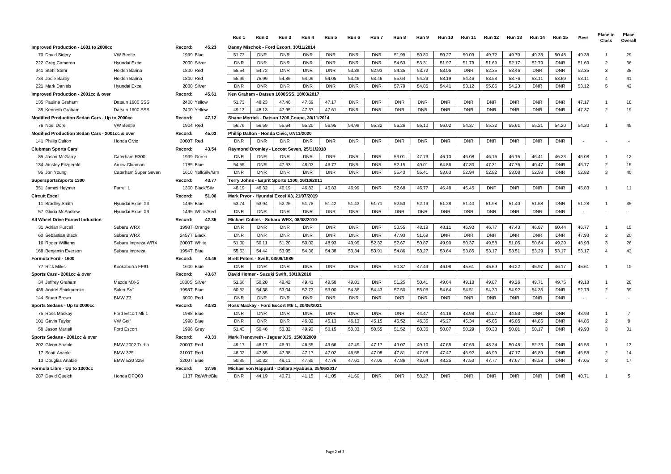|                                                |                      |                                         |                    | Run 1                                     | Run 2                                    | Run 3      | Run 4                                         | Run 5      | Run 6      | Run 7      | Run 8      | Run 9      | <b>Run 10</b> | <b>Run 11</b> | <b>Run 12</b> | <b>Run 13</b> | <b>Run 14</b> | <b>Run 15</b> | <b>Best</b> | Place in<br>Class  | Place<br>Overall |
|------------------------------------------------|----------------------|-----------------------------------------|--------------------|-------------------------------------------|------------------------------------------|------------|-----------------------------------------------|------------|------------|------------|------------|------------|---------------|---------------|---------------|---------------|---------------|---------------|-------------|--------------------|------------------|
| Improved Production - 1601 to 2000cc           |                      | Record:                                 | 45.23              | Danny Mischok - Ford Escort, 30/11/2014   |                                          |            |                                               |            |            |            |            |            |               |               |               |               |               |               |             |                    |                  |
| 70 David Sidery                                | <b>VW Beetle</b>     | 1999 Blue                               |                    | 51.72                                     | <b>DNR</b>                               | <b>DNR</b> | <b>DNR</b>                                    | <b>DNR</b> | <b>DNR</b> | <b>DNR</b> | 51.99      | 50.80      | 50.27         | 50.09         | 49.72         | 49.70         | 49.38         | 50.48         | 49.38       |                    | 29               |
| 222 Greg Cameron                               | Hyundai Excel        | 2000 Silver                             |                    | <b>DNR</b>                                | <b>DNR</b>                               | <b>DNR</b> | <b>DNR</b>                                    | <b>DNR</b> | <b>DNR</b> | <b>DNR</b> | 54.53      | 53.31      | 51.97         | 51.79         | 51.69         | 52.17         | 52.79         | <b>DNR</b>    | 51.69       | $\overline{2}$     | 36               |
| 341 Steffi Stehr                               | Holden Barina        | 1800 Red                                |                    | 55.54                                     | 54.72                                    | <b>DNR</b> | <b>DNR</b>                                    | <b>DNR</b> | 53.38      | 52.93      | 54.35      | 53.72      | 53.06         | <b>DNR</b>    | 52.35         | 53.46         | <b>DNR</b>    | <b>DNR</b>    | 52.35       | 3                  | 38               |
| 734 Jodie Bailey                               | Holden Barina        | 1800 Red                                |                    | 55.99                                     | 75.99                                    | 54.86      | 54.09                                         | 54.05      | 53.46      | 53.46      | 55.64      | 54.23      | 53.19         | 54.46         | 53.58         | 53.76         | 53.11         | 53.69         | 53.11       |                    | 41               |
| 221 Mark Daniels                               | Hyundai Excel        | 2000 Silver                             |                    | <b>DNR</b>                                | <b>DNR</b>                               | <b>DNR</b> | <b>DNR</b>                                    | <b>DNR</b> | <b>DNR</b> | <b>DNR</b> | 57.79      | 54.85      | 54.41         | 53.12         | 55.05         | 54.23         | <b>DNR</b>    | <b>DNR</b>    | 53.12       | 5                  | 42               |
| Improved Production - 2001cc & over            |                      | Record:                                 | 45.61              | Ken Graham - Datsun                       |                                          | 1600SSS,   | 18/03/2017                                    |            |            |            |            |            |               |               |               |               |               |               |             |                    |                  |
| 135 Pauline Graham                             | Datsun 1600 SSS      | 2400 Yellow                             |                    | 51.73                                     | 48.23                                    | 47.46      | 47.69                                         | 47.17      | <b>DNR</b> | <b>DNR</b> | <b>DNR</b> | <b>DNR</b> | <b>DNR</b>    | <b>DNR</b>    | <b>DNR</b>    | <b>DNR</b>    | <b>DNR</b>    | <b>DNR</b>    | 47.17       |                    | 18               |
| 35 Kenneth Graham                              | Datsun 1600 SSS      | 2400 Yellow                             |                    | 49.13                                     | 48.13                                    | 47.95      | 47.37                                         | 47.61      | <b>DNR</b> | <b>DNR</b> | <b>DNR</b> | <b>DNR</b> | <b>DNR</b>    | <b>DNR</b>    | <b>DNR</b>    | <b>DNR</b>    | <b>DNR</b>    | <b>DNR</b>    | 47.37       | $\mathcal{P}$      | 19               |
| Modified Production Sedan Cars - Up to 2000cc  |                      | Record:                                 | 47.12              |                                           |                                          |            | Shane Merrick - Datsun 1200 Coupe, 30/11/2014 |            |            |            |            |            |               |               |               |               |               |               |             |                    |                  |
| 76 Noel Dore                                   | <b>VW Beetle</b>     | 1904 Red                                |                    | 56.76                                     | 56.59                                    | 55.64      | 55.20                                         | 56.95      | 54.98      | 55.32      | 56.26      | 56.10      | 56.02         | 54.37         | 55.32         | 55.61         | 55.21         | 54.20         | 54.20       |                    | 45               |
| Modified Production Sedan Cars - 2001cc & over |                      | 45.03<br>Record:                        |                    | Phillip Dalton - Honda Civic, 07/11/2020  |                                          |            |                                               |            |            |            |            |            |               |               |               |               |               |               |             |                    |                  |
| 141 Phillip Dalton                             | Honda Civic          | 2000T Red                               |                    | <b>DNR</b>                                | <b>DNR</b>                               | <b>DNR</b> | <b>DNR</b>                                    | <b>DNR</b> | <b>DNR</b> | <b>DNR</b> | <b>DNR</b> | <b>DNR</b> | <b>DNR</b>    | <b>DNR</b>    | <b>DNR</b>    | <b>DNR</b>    | <b>DNR</b>    | <b>DNR</b>    |             |                    |                  |
| <b>Clubman Sports Cars</b>                     |                      | Record:                                 | 43.54              |                                           |                                          |            | Raymond Bromley - Locost Seven, 25/11/2018    |            |            |            |            |            |               |               |               |               |               |               |             |                    |                  |
| 85 Jason McGarry                               | Caterham R300        | 1999 Green                              |                    | <b>DNR</b>                                | <b>DNR</b>                               | <b>DNR</b> | <b>DNR</b>                                    | <b>DNR</b> | <b>DNR</b> | <b>DNR</b> | 53.01      | 47.73      | 46.10         | 46.08         | 46.16         | 46.15         | 46.41         | 46.23         | 46.08       |                    | 12               |
| 134 Ainsley Fitzgerald                         | Arrow Clubman        | 1785 Blue                               |                    | 54.55                                     | <b>DNR</b>                               | 47.63      | 48.03                                         | 46.77      | <b>DNR</b> | <b>DNR</b> | 52.15      | 49.01      | 64.86         | 47.80         | 47.31         | 47.76         | 49.47         | <b>DNR</b>    | 46.77       | $\overline{2}$     | 15               |
| 95 Jon Young                                   | Caterham Super Seven |                                         | 1610 Yell/Silv/Grn | <b>DNR</b>                                | <b>DNR</b>                               | <b>DNR</b> | <b>DNR</b>                                    | <b>DNR</b> | <b>DNR</b> | <b>DNR</b> | 55.43      | 55.41      | 53.63         | 52.94         | 52.82         | 53.08         | 52.98         | <b>DNR</b>    | 52.82       | 3                  | 40               |
| Supersports/Sports 1300                        |                      | Record:                                 | 43.77              |                                           |                                          |            | Terry Johns - Esprit Sports 1300, 16/10/2011  |            |            |            |            |            |               |               |               |               |               |               |             |                    |                  |
| 351 James Heymer                               | Farrell L            |                                         | 1300 Black/Silv    | 48.19                                     | 46.32                                    | 46.19      | 46.83                                         | 45.83      | 46.99      | <b>DNR</b> | 52.68      | 46.77      | 46.48         | 46.45         | <b>DNF</b>    | <b>DNR</b>    | <b>DNR</b>    | <b>DNR</b>    | 45.83       |                    | 11               |
| <b>Circuit Excel</b>                           |                      | Record:                                 | 51.00              | Mark Pryor - Hyundai Excel X3, 21/07/2019 |                                          |            |                                               |            |            |            |            |            |               |               |               |               |               |               |             |                    |                  |
| 11 Bradley Smith                               | Hyundai Excel X3     | 1495 Blue                               |                    | 53.74                                     | 53.94                                    | 52.26      | 51.78                                         | 51.42      | 51.43      | 51.71      | 52.53      | 52.13      | 51.28         | 51.40         | 51.98         | 51.40         | 51.58         | <b>DNR</b>    | 51.28       |                    | 35               |
| 57 Gloria McAndrew                             | Hyundai Excel X3     |                                         | 1495 White/Red     | <b>DNR</b>                                | <b>DNR</b>                               | <b>DNR</b> | <b>DNR</b>                                    | <b>DNR</b> | <b>DNR</b> | <b>DNR</b> | <b>DNR</b> | <b>DNR</b> | <b>DNR</b>    | <b>DNR</b>    | <b>DNR</b>    | <b>DNR</b>    | <b>DNR</b>    | <b>DNR</b>    |             |                    |                  |
| All Wheel Drive Forced Induction               |                      | Record:                                 | 42.35              |                                           | Michael Collins - Subaru WRX, 08/08/2010 |            |                                               |            |            |            |            |            |               |               |               |               |               |               |             |                    |                  |
| 31 Adrian Purcell                              | Subaru WRX           | 1998T Orange                            |                    | <b>DNR</b>                                | <b>DNR</b>                               | <b>DNR</b> | <b>DNR</b>                                    | <b>DNR</b> | <b>DNR</b> | <b>DNR</b> | 50.55      | 48.19      | 48.11         | 46.93         | 46.77         | 47.43         | 46.87         | 60.44         | 46.77       |                    | 15               |
| 60 Sebastian Black                             | Subaru WRX           | 2457T Black                             |                    | <b>DNR</b>                                | <b>DNR</b>                               | <b>DNR</b> | <b>DNR</b>                                    | <b>DNR</b> | <b>DNR</b> | <b>DNR</b> | 47.93      | 51.69      | <b>DNR</b>    | <b>DNR</b>    | <b>DNR</b>    | <b>DNR</b>    | <b>DNR</b>    | <b>DNR</b>    | 47.93       | $\overline{2}$     | 20               |
| 16 Roger Williams                              | Subaru Impreza WRX   | 2000T White                             |                    | 51.00                                     | 50.11                                    | 51.20      | 50.02                                         | 48.93      | 49.99      | 52.32      | 52.67      | 50.87      | 49.90         | 50.37         | 49.58         | 51.05         | 50.64         | 49.29         | 48.93       | 3                  | 26               |
| 168 Benjamin Everson                           | Subaru Impreza       | 1994T Blue                              |                    | 55.63                                     | 54.44                                    | 53.95      | 54.36                                         | 54.38      | 53.34      | 53.91      | 54.86      | 53.27      | 53.64         | 53.85         | 53.17         | 53.51         | 53.29         | 53.17         | 53.17       |                    | 43               |
| Formula Ford - 1600                            |                      | Record:                                 | 44.49              | Brett Peters - Swift, 03/09/1989          |                                          |            |                                               |            |            |            |            |            |               |               |               |               |               |               |             |                    |                  |
| 77 Rick Miles                                  | Kookaburra FF91      | 1600 Blue                               |                    | <b>DNR</b>                                | <b>DNR</b>                               | <b>DNR</b> | <b>DNR</b>                                    | <b>DNR</b> | <b>DNR</b> | <b>DNR</b> | 50.87      | 47.43      | 46.08         | 45.61         | 45.69         | 46.22         | 45.97         | 46.17         | 45.61       |                    | 10               |
| Sports Cars - 2001cc & over                    |                      | Record:                                 | 43.67              | David Homer - Suzuki Swift, 30/10/2010    |                                          |            |                                               |            |            |            |            |            |               |               |               |               |               |               |             |                    |                  |
| 34 Jeffrey Graham                              | Mazda MX-5           | 1800S Silver                            |                    | 51.66                                     | 50.20                                    | 49.42      | 49.41                                         | 49.58      | 49.81      | <b>DNR</b> | 51.25      | 50.41      | 49.64         | 49.18         | 49.87         | 49.26         | 49.71         | 49.75         | 49.18       |                    | 28               |
| 488 Andrei Shinkarenko                         | Saker SV1            | 1998T Blue                              |                    | 60.52                                     | 54.38                                    | 53.04      | 52.73                                         | 53.00      | 54.36      | 54.43      | 57.50      | 55.06      | 54.64         | 54.51         | 54.30         | 54.92         | 54.35         | <b>DNR</b>    | 52.73       | $\overline{2}$     | 39               |
| 144 Stuart Brown                               | BMW <sub>Z3</sub>    | 6000 Red                                |                    | <b>DNR</b>                                | <b>DNR</b>                               | <b>DNR</b> | <b>DNR</b>                                    | <b>DNR</b> | <b>DNR</b> | <b>DNR</b> | <b>DNR</b> | <b>DNR</b> | <b>DNR</b>    | <b>DNR</b>    | <b>DNR</b>    | <b>DNR</b>    | <b>DNR</b>    | <b>DNR</b>    |             |                    |                  |
| Sports Sedans - Up to 2000cc                   |                      | Record:                                 | 43.83              | Ross Mackay - Ford Escort Mk 1            |                                          |            | 20/06/2021                                    |            |            |            |            |            |               |               |               |               |               |               |             |                    |                  |
| 75 Ross Mackay                                 | Ford Escort Mk 1     | <b>1988 Blue</b>                        |                    | <b>DNR</b>                                | <b>DNR</b>                               | <b>DNR</b> | <b>DNR</b>                                    | <b>DNR</b> | <b>DNR</b> | <b>DNR</b> | <b>DNR</b> | 44.47      | 44.16         | 43.93         | 44.07         | 44.53         | <b>DNR</b>    | <b>DNR</b>    | 43.93       |                    |                  |
| 101 Gavin Taylor                               | VW Golf              | <b>1998 Blue</b>                        |                    | <b>DNR</b>                                | <b>DNR</b>                               | <b>DNR</b> | 46.02                                         | 45.13      | 46.13      | 45.15      | 45.52      | 46.35      | 45.27         | 45.34         | 45.05         | 45.05         | 44.85         | <b>DNR</b>    | 44.85       | $\overline{2}$     | 9                |
| 58 Jason Martell                               | <b>Ford Escort</b>   | 1996 Grey                               |                    | 51.43                                     | 50.46                                    | 50.32      | 49.93                                         | 50.15      | 50.33      | 50.55      | 51.52      | 50.36      | 50.07         | 50.29         | 50.33         | 50.01         | 50.17         | <b>DNR</b>    | 49.93       | 3                  | 31               |
| Sports Sedans - 2001cc & over                  |                      | Mark Trenoweth - Jaguar XJS, 15/03/2009 |                    |                                           |                                          |            |                                               |            |            |            |            |            |               |               |               |               |               |               |             |                    |                  |
| 202 Glenn Anable                               | BMW 2002 Turbo       | 2000T Red                               |                    | 49.17                                     | 48.17                                    | 46.91      | 46.55                                         | 49.66      | 47.49      | 47.17      | 49.07      | 49.10      | 47.65         | 47.63         | 48.24         | 50.48         | 52.23         | <b>DNR</b>    | 46.55       |                    | 13               |
| 17 Scott Anable                                | <b>BMW 325i</b>      | 3100T Red                               |                    | 48.02                                     | 47.85                                    | 47.38      | 47.17                                         | 47.02      | 46.58      | 47.08      | 47.81      | 47.08      | 47.47         | 46.92         | 46.99         | 47.17         | 46.89         | <b>DNR</b>    | 46.58       |                    | 14               |
| 13 Douglas Anable                              | <b>BMW E30 325i</b>  | 3200T Blue                              |                    | 50.85                                     | 50.32                                    | 48.11      | 47.85                                         | 47.76      | 47.61      | 47.05      | 47.86      | 48.64      | 48.25         | 47.53         | 47.77         | 47.67         | 48.58         | <b>DNR</b>    | 47.05       | $\mathbf{\hat{z}}$ | 17               |
| Formula Libre - Up to 1300cc                   |                      | Record:                                 | 37.99              | <b>Michael von Rappard</b>                |                                          |            | Dallara Hvabusa, 25/06/2017                   |            |            |            |            |            |               |               |               |               |               |               |             |                    |                  |
| 287 David Quelch                               | Honda DPQ03          |                                         | 1137 Rd/Wht/Blu    | <b>DNR</b>                                | 44.19                                    | 40.71      | 41.15                                         | 41.05      | 41.60      | <b>DNR</b> | <b>DNR</b> | 58.27      | <b>DNR</b>    | <b>DNR</b>    | <b>DNR</b>    | <b>DNR</b>    | <b>DNR</b>    | <b>DNR</b>    | 40.71       |                    | 5                |